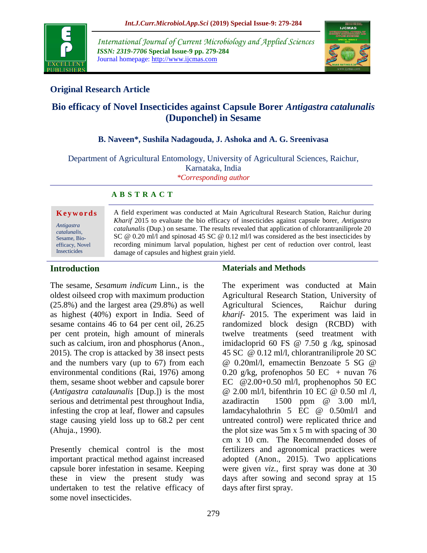

*International Journal of Current Microbiology and Applied Sciences ISSN: 2319-7706* **Special Issue-9 pp. 279-284** Journal homepage: http://www.ijcmas.com



# **Original Research Article**

# **Bio efficacy of Novel Insecticides against Capsule Borer** *Antigastra catalunalis* **(Duponchel) in Sesame**

### **B. Naveen\*, Sushila Nadagouda, J. Ashoka and A. G. Sreenivasa**

Department of Agricultural Entomology, University of Agricultural Sciences, Raichur, Karnataka, India *\*Corresponding author*

**A B S T R A C T**

#### **K e y w o r d s**

*Antigastra catalunalis,*  Sesame, Bioefficacy, Novel Insecticides

A field experiment was conducted at Main Agricultural Research Station, Raichur during *Kharif* 2015 to evaluate the bio efficacy of insecticides against capsule borer, *Antigastra catalunalis* (Dup.) on sesame. The results revealed that application of chlorantraniliprole 20 SC @ 0.20 ml/l and spinosad 45 SC @ 0.12 ml/l was considered as the best insecticides by recording minimum larval population, highest per cent of reduction over control, least damage of capsules and highest grain yield.

# **Introduction**

The sesame, *Sesamum indicum* Linn., is the oldest oilseed crop with maximum production (25.8%) and the largest area (29.8%) as well as highest (40%) export in India. Seed of sesame contains 46 to 64 per cent oil, 26.25 per cent protein, high amount of minerals such as calcium, iron and phosphorus (Anon., 2015). The crop is attacked by 38 insect pests and the numbers vary (up to 67) from each environmental conditions (Rai, 1976) among them, sesame shoot webber and capsule borer (*Antigastra catalaunalis* [Dup.]) is the most serious and detrimental pest throughout India, infesting the crop at leaf, flower and capsules stage causing yield loss up to 68.2 per cent (Ahuja., 1990).

Presently chemical control is the most important practical method against increased capsule borer infestation in sesame. Keeping these in view the present study was undertaken to test the relative efficacy of some novel insecticides.

#### **Materials and Methods**

The experiment was conducted at Main Agricultural Research Station, University of Agricultural Sciences, Raichur during *kharif-* 2015. The experiment was laid in randomized block design (RCBD) with twelve treatments (seed treatment with imidacloprid 60 FS @ 7.50 g /kg, spinosad 45 SC @ 0.12 ml/l, chlorantraniliprole 20 SC @ 0.20ml/l, emamectin Benzoate 5 SG @ 0.20 g/kg, profenophos 50 EC + nuvan 76 EC  $@2.00+0.50$  ml/l, prophenophos 50 EC @ 2.00 ml/l, bifenthrin 10 EC @ 0.50 ml /l, azadiractin 1500 ppm @ 3.00 ml/l, lamdacyhalothrin 5 EC @ 0.50ml/l and untreated control) were replicated thrice and the plot size was 5m x 5 m with spacing of 30 cm x 10 cm. The Recommended doses of fertilizers and agronomical practices were adopted (Anon., 2015). Two applications were given *viz.,* first spray was done at 30 days after sowing and second spray at 15 days after first spray.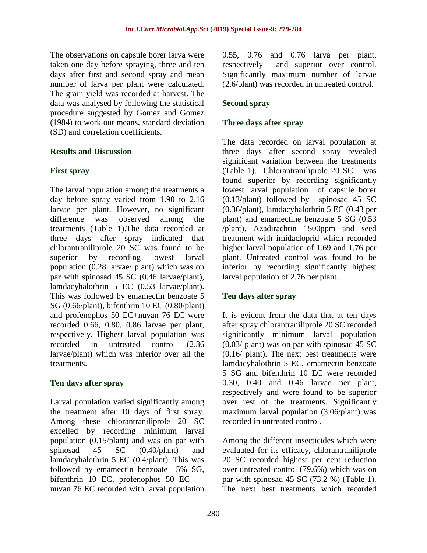The observations on capsule borer larva were taken one day before spraying, three and ten days after first and second spray and mean number of larva per plant were calculated. The grain yield was recorded at harvest. The data was analysed by following the statistical procedure suggested by Gomez and Gomez (1984) to work out means, standard deviation (SD) and correlation coefficients.

### **Results and Discussion**

### **First spray**

The larval population among the treatments a day before spray varied from 1.90 to 2.16 larvae per plant. However, no significant difference was observed among the treatments (Table 1).The data recorded at three days after spray indicated that chlorantraniliprole 20 SC was found to be superior by recording lowest larval population (0.28 larvae/ plant) which was on par with spinosad 45 SC (0.46 larvae/plant), lamdacyhalothrin 5 EC (0.53 larvae/plant). This was followed by emamectin benzoate 5 SG (0.66/plant), bifenthrin 10 EC (0.80/plant) and profenophos 50 EC+nuvan 76 EC were recorded 0.66, 0.80, 0.86 larvae per plant, respectively. Highest larval population was recorded in untreated control (2.36 larvae/plant) which was inferior over all the treatments.

### **Ten days after spray**

Larval population varied significantly among the treatment after 10 days of first spray. Among these chlorantraniliprole 20 SC excelled by recording minimum larval population (0.15/plant) and was on par with spinosad 45 SC (0.40/plant) and lamdacyhalothrin 5 EC (0.4/plant). This was followed by emamectin benzoate 5% SG, bifenthrin 10 EC, profenophos 50 EC + nuvan 76 EC recorded with larval population 0.55, 0.76 and 0.76 larva per plant, respectively and superior over control. Significantly maximum number of larvae (2.6/plant) was recorded in untreated control.

## **Second spray**

## **Three days after spray**

The data recorded on larval population at three days after second spray revealed significant variation between the treatments (Table 1). Chlorantraniliprole 20 SC was found superior by recording significantly lowest larval population of capsule borer (0.13/plant) followed by spinosad 45 SC (0.36/plant), lamdacyhalothrin 5 EC (0.43 per plant) and emamectine benzoate 5 SG (0.53 /plant). Azadirachtin 1500ppm and seed treatment with imidacloprid which recorded higher larval population of 1.69 and 1.76 per plant. Untreated control was found to be inferior by recording significantly highest larval population of 2.76 per plant.

### **Ten days after spray**

It is evident from the data that at ten days after spray chlorantraniliprole 20 SC recorded significantly minimum larval population (0.03/ plant) was on par with spinosad 45 SC (0.16/ plant). The next best treatments were lamdacyhalothrin 5 EC, emamectin benzoate 5 SG and bifenthrin 10 EC were recorded 0.30, 0.40 and 0.46 larvae per plant, respectively and were found to be superior over rest of the treatments. Significantly maximum larval population (3.06/plant) was recorded in untreated control.

Among the different insecticides which were evaluated for its efficacy, chlorantraniliprole 20 SC recorded highest per cent reduction over untreated control (79.6%) which was on par with spinosad 45 SC (73.2 %) (Table 1). The next best treatments which recorded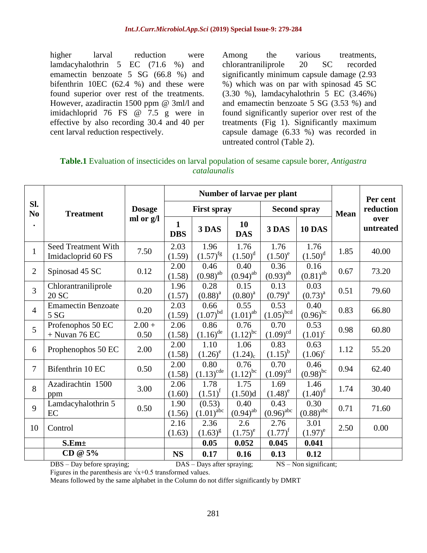higher larval reduction were lamdacyhalothrin 5 EC (71.6 %) and emamectin benzoate 5 SG (66.8 %) and bifenthrin 10EC (62.4 %) and these were found superior over rest of the treatments. However, azadiractin 1500 ppm @ 3ml/l and imidachloprid 76 FS @ 7.5 g were in effective by also recording 30.4 and 40 per cent larval reduction respectively.

Among the various treatments, chlorantraniliprole 20 SC recorded significantly minimum capsule damage (2.93 %) which was on par with spinosad 45 SC (3.30 %), lamdacyhalothrin 5 EC (3.46%) and emamectin benzoate 5 SG (3.53 %) and found significantly superior over rest of the treatments (Fig 1). Significantly maximum capsule damage (6.33 %) was recorded in untreated control (Table 2).

| <b>Table.1</b> Evaluation of insecticides on larval population of sesame capsule borer, <i>Antigastra</i> |
|-----------------------------------------------------------------------------------------------------------|
| catalaunalis                                                                                              |

|                                    | <b>Treatment</b>                                                                                              | <b>Dosage</b><br>ml or g/l | Number of larvae per plant |                          |                       |                        |                        |             | Per cent          |
|------------------------------------|---------------------------------------------------------------------------------------------------------------|----------------------------|----------------------------|--------------------------|-----------------------|------------------------|------------------------|-------------|-------------------|
| SI.<br>N <sub>0</sub><br>$\bullet$ |                                                                                                               |                            | <b>First spray</b>         |                          |                       | <b>Second spray</b>    |                        | <b>Mean</b> | reduction         |
|                                    |                                                                                                               |                            | 1<br><b>DBS</b>            | 3 DAS                    | 10<br><b>DAS</b>      | 3 DAS                  | <b>10 DAS</b>          |             | over<br>untreated |
| $\mathbf{1}$                       | <b>Seed Treatment With</b><br>Imidacloprid 60 FS                                                              | 7.50                       | 2.03<br>(1.59)             | 1.96<br>$(1.57)^{fg}$    | 1.76<br>$(1.50)^d$    | 1.76<br>$(1.50)^e$     | 1.76<br>$(1.50)^d$     | 1.85        | 40.00             |
| $\overline{2}$                     | Spinosad 45 SC                                                                                                | 0.12                       | 2.00<br>(1.58)             | 0.46<br>$(0.98)^{ab}$    | 0.40<br>$(0.94)^{ab}$ | 0.36<br>$(0.93)^{ab}$  | 0.16<br>$(0.81)^{ab}$  | 0.67        | 73.20             |
| 3                                  | Chlorantraniliprole<br>20 SC                                                                                  | 0.20                       | 1.96<br>(1.57)             | 0.28<br>$(0.88)^{a}$     | 0.15<br>$(0.80)^{a}$  | 0.13<br>$(0.79)^{a}$   | 0.03<br>$(0.73)^{a}$   | 0.51        | 79.60             |
| $\overline{4}$                     | <b>Emamectin Benzoate</b><br>5S                                                                               | 0.20                       | 2.03<br>(1.59)             | 0.66<br>$(1.07)^{bd}$    | 0.55<br>$(1.01)^{ab}$ | 0.53<br>$(1.05)^{bcd}$ | 0.40<br>$(0.96)^{bc}$  | 0.83        | 66.80             |
| 5                                  | Profenophos 50 EC<br>$+$ Nuvan 76 EC                                                                          | $2.00 +$<br>0.50           | 2.06<br>(1.58)             | 0.86<br>$(1.16)^{de}$    | 0.76<br>$(1.12)^{bc}$ | 0.70<br>$(1.09)^{cd}$  | 0.53<br>$(1.01)^c$     | 0.98        | 60.80             |
| 6                                  | Prophenophos 50 EC                                                                                            | 2.00                       | 2.00<br>(1.58)             | 1.10<br>$(1.26)^e$       | 1.06<br>$(1.24)_{c}$  | 0.83<br>$(1.15)^{b}$   | 0.63<br>$(1.06)^c$     | 1.12        | 55.20             |
| 7                                  | Bifenthrin 10 EC                                                                                              | 0.50                       | 2.00<br>(1.58)             | 0.80<br>$(1.13)^{cde}$   | 0.76<br>$(1.12)^{bc}$ | 0.70<br>$(1.09)^{cd}$  | 0.46<br>$(0.98)^{bc}$  | 0.94        | 62.40             |
| 8                                  | Azadirachtin 1500<br>ppm                                                                                      | 3.00                       | 2.06<br>(1.60)             | 1.78<br>$(1.51)^f$       | 1.75<br>(1.50)d       | 1.69<br>$(1.48)^e$     | 1.46<br>$(1.40)^d$     | 1.74        | 30.40             |
| 9                                  | Lamdacyhalothrin 5<br>EC                                                                                      | 0.50                       | 1.90<br>(1.56)             | (0.53)<br>$(1.01)^{abc}$ | 0.40<br>$(0.94)^{ab}$ | 0.43<br>$(0.96)^{abc}$ | 0.30<br>$(0.88)^{abc}$ | 0.71        | 71.60             |
| 10                                 | Control                                                                                                       |                            | 2.16<br>(1.63)             | 2.36<br>$(1.63)^{g}$     | 2.6<br>$(1.75)^e$     | 2.76<br>$(1.77)^{f}$   | 3.01<br>$(1.97)^e$     | 2.50        | 0.00              |
|                                    | S.Em <sub>±</sub>                                                                                             |                            |                            | 0.05                     | 0.052                 | 0.045                  | 0.041                  |             |                   |
|                                    | CD @ 5%                                                                                                       |                            | <b>NS</b>                  | 0.17                     | 0.16                  | 0.13                   | 0.12                   |             |                   |
|                                    | $NS - Non significant;$<br>$\overline{DB}S$ – Day before spraying;<br>$\overline{DAS}$ – Days after spraying; |                            |                            |                          |                       |                        |                        |             |                   |

Figures in the parenthesis are  $\sqrt{x+0.5}$  transformed values.

Means followed by the same alphabet in the Column do not differ significantly by DMRT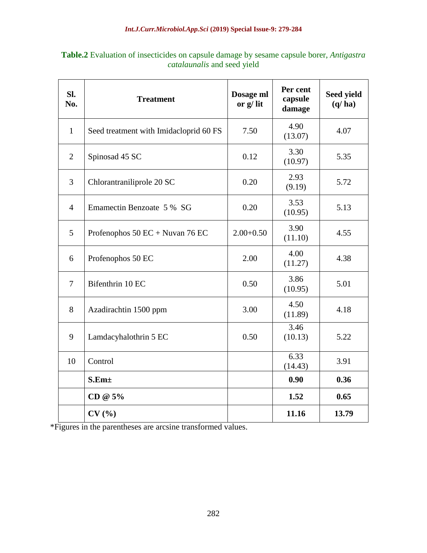| SI.<br>No.     | <b>Treatment</b>                       | Dosage ml<br>or $g$ / $lit$ | Per cent<br>capsule<br>damage | Seed yield<br>(q/ha) |
|----------------|----------------------------------------|-----------------------------|-------------------------------|----------------------|
| $\mathbf{1}$   | Seed treatment with Imidacloprid 60 FS | 7.50                        | 4.90<br>(13.07)               | 4.07                 |
| $\overline{2}$ | Spinosad 45 SC                         | 0.12                        | 3.30<br>(10.97)               | 5.35                 |
| 3              | Chlorantraniliprole 20 SC              | 0.20                        | 2.93<br>(9.19)                | 5.72                 |
| $\overline{4}$ | Emamectin Benzoate 5 % SG              | 0.20                        | 3.53<br>(10.95)               | 5.13                 |
| 5              | Profenophos $50 EC + Nuvan 76 EC$      | $2.00+0.50$                 | 3.90<br>(11.10)               | 4.55                 |
| 6              | Profenophos 50 EC                      | 2.00                        | 4.00<br>(11.27)               | 4.38                 |
| $\overline{7}$ | Bifenthrin 10 EC                       | 0.50                        | 3.86<br>(10.95)               | 5.01                 |
| 8              | Azadirachtin 1500 ppm                  | 3.00                        | 4.50<br>(11.89)               | 4.18                 |
| 9              | Lamdacyhalothrin 5 EC                  | 0.50                        | 3.46<br>(10.13)               | 5.22                 |
| 10             | Control                                |                             | $\overline{6.33}$<br>(14.43)  | 3.91                 |
|                | S.Em <sub>±</sub>                      |                             | 0.90                          | 0.36                 |
|                | CD @ 5%                                |                             | 1.52                          | 0.65                 |
|                | CV(%)                                  |                             | 11.16                         | 13.79                |

**Table.2** Evaluation of insecticides on capsule damage by sesame capsule borer, *Antigastra catalaunalis* and seed yield

\*Figures in the parentheses are arcsine transformed values.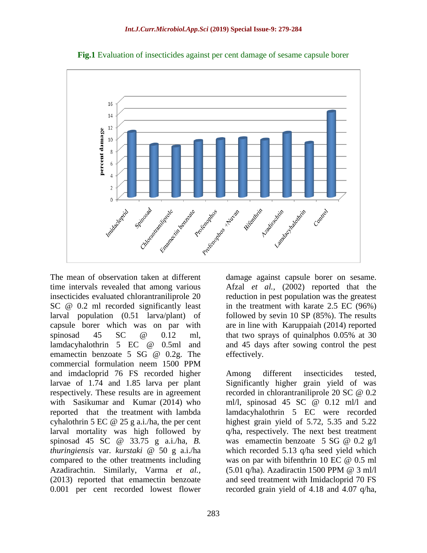

**Fig.1** Evaluation of insecticides against per cent damage of sesame capsule borer

The mean of observation taken at different time intervals revealed that among various insecticides evaluated chlorantraniliprole 20 SC @ 0.2 ml recorded significantly least larval population (0.51 larva/plant) of capsule borer which was on par with spinosad 45 SC @ 0.12 ml. lamdacyhalothrin 5 EC @ 0.5ml and emamectin benzoate 5 SG @ 0.2g. The commercial formulation neem 1500 PPM and imdacloprid 76 FS recorded higher larvae of 1.74 and 1.85 larva per plant respectively. These results are in agreement with Sasikumar and Kumar (2014) who reported that the treatment with lambda cyhalothrin 5 EC @ 25 g a.i./ha, the per cent larval mortality was high followed by spinosad 45 SC @ 33.75 g a.i./ha, *B. thuringiensis* var. *kurstaki* @ 50 g a.i./ha compared to the other treatments including Azadirachtin. Similarly, Varma *et al.,*  (2013) reported that emamectin benzoate 0.001 per cent recorded lowest flower

damage against capsule borer on sesame. Afzal *et al.,* (2002) reported that the reduction in pest population was the greatest in the treatment with karate 2.5 EC (96%) followed by sevin 10 SP (85%). The results are in line with Karuppaiah (2014) reported that two sprays of quinalphos 0.05% at 30 and 45 days after sowing control the pest effectively.

Among different insecticides tested, Significantly higher grain yield of was recorded in chlorantraniliprole 20 SC @ 0.2 ml/l, spinosad 45 SC @ 0.12 ml/l and lamdacyhalothrin 5 EC were recorded highest grain yield of 5.72, 5.35 and 5.22 q/ha, respectively. The next best treatment was emamectin benzoate 5 SG @ 0.2 g/l which recorded 5.13 q/ha seed yield which was on par with bifenthrin 10 EC @ 0.5 ml (5.01 q/ha). Azadiractin 1500 PPM @ 3 ml/l and seed treatment with Imidacloprid 70 FS recorded grain yield of 4.18 and 4.07 q/ha,